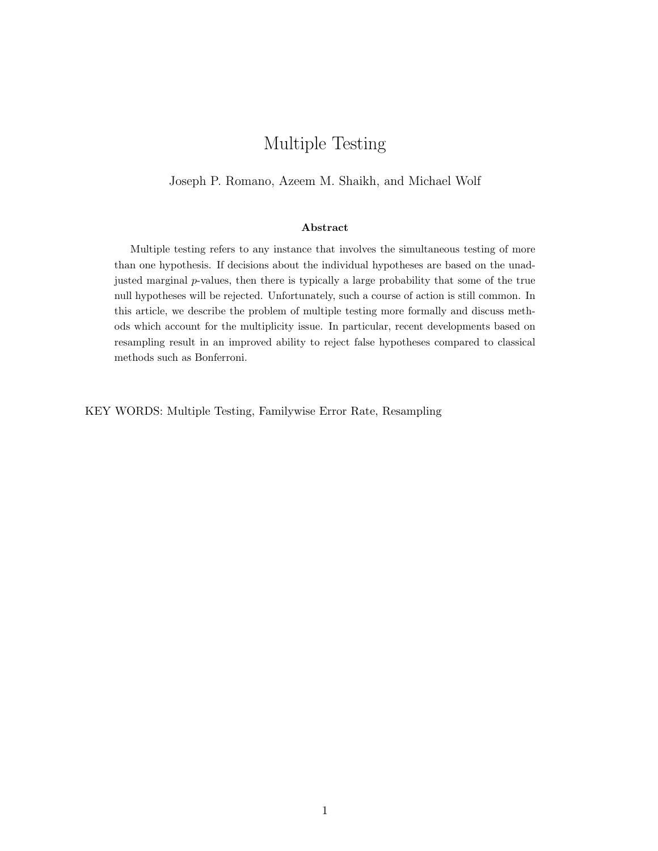# Multiple Testing

#### Joseph P. Romano, Azeem M. Shaikh, and Michael Wolf

#### Abstract

Multiple testing refers to any instance that involves the simultaneous testing of more than one hypothesis. If decisions about the individual hypotheses are based on the unadjusted marginal  $p$ -values, then there is typically a large probability that some of the true null hypotheses will be rejected. Unfortunately, such a course of action is still common. In this article, we describe the problem of multiple testing more formally and discuss methods which account for the multiplicity issue. In particular, recent developments based on resampling result in an improved ability to reject false hypotheses compared to classical methods such as Bonferroni.

KEY WORDS: Multiple Testing, Familywise Error Rate, Resampling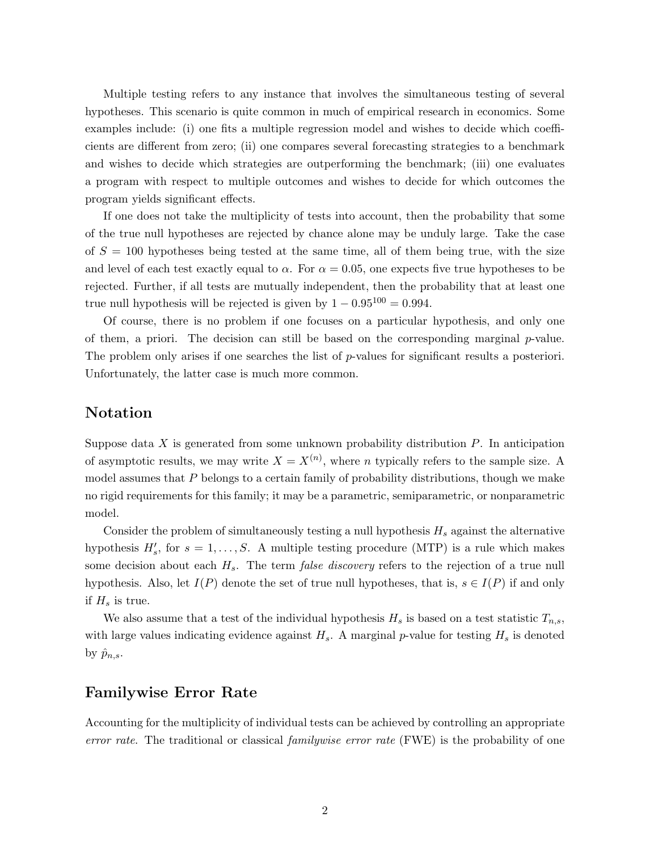Multiple testing refers to any instance that involves the simultaneous testing of several hypotheses. This scenario is quite common in much of empirical research in economics. Some examples include: (i) one fits a multiple regression model and wishes to decide which coefficients are different from zero; (ii) one compares several forecasting strategies to a benchmark and wishes to decide which strategies are outperforming the benchmark; (iii) one evaluates a program with respect to multiple outcomes and wishes to decide for which outcomes the program yields significant effects.

If one does not take the multiplicity of tests into account, then the probability that some of the true null hypotheses are rejected by chance alone may be unduly large. Take the case of  $S = 100$  hypotheses being tested at the same time, all of them being true, with the size and level of each test exactly equal to  $\alpha$ . For  $\alpha = 0.05$ , one expects five true hypotheses to be rejected. Further, if all tests are mutually independent, then the probability that at least one true null hypothesis will be rejected is given by  $1 - 0.95^{100} = 0.994$ .

Of course, there is no problem if one focuses on a particular hypothesis, and only one of them, a priori. The decision can still be based on the corresponding marginal  $p$ -value. The problem only arises if one searches the list of p-values for significant results a posteriori. Unfortunately, the latter case is much more common.

## Notation

Suppose data  $X$  is generated from some unknown probability distribution  $P$ . In anticipation of asymptotic results, we may write  $X = X^{(n)}$ , where n typically refers to the sample size. A model assumes that  $P$  belongs to a certain family of probability distributions, though we make no rigid requirements for this family; it may be a parametric, semiparametric, or nonparametric model.

Consider the problem of simultaneously testing a null hypothesis  $H_s$  against the alternative hypothesis  $H'_{s}$ , for  $s = 1, \ldots, S$ . A multiple testing procedure (MTP) is a rule which makes some decision about each  $H_s$ . The term *false discovery* refers to the rejection of a true null hypothesis. Also, let  $I(P)$  denote the set of true null hypotheses, that is,  $s \in I(P)$  if and only if  $H_s$  is true.

We also assume that a test of the individual hypothesis  $H_s$  is based on a test statistic  $T_{n,s}$ , with large values indicating evidence against  $H_s$ . A marginal p-value for testing  $H_s$  is denoted by  $\hat{p}_{n,s}$ .

#### Familywise Error Rate

Accounting for the multiplicity of individual tests can be achieved by controlling an appropriate error rate. The traditional or classical *familywise error rate* (FWE) is the probability of one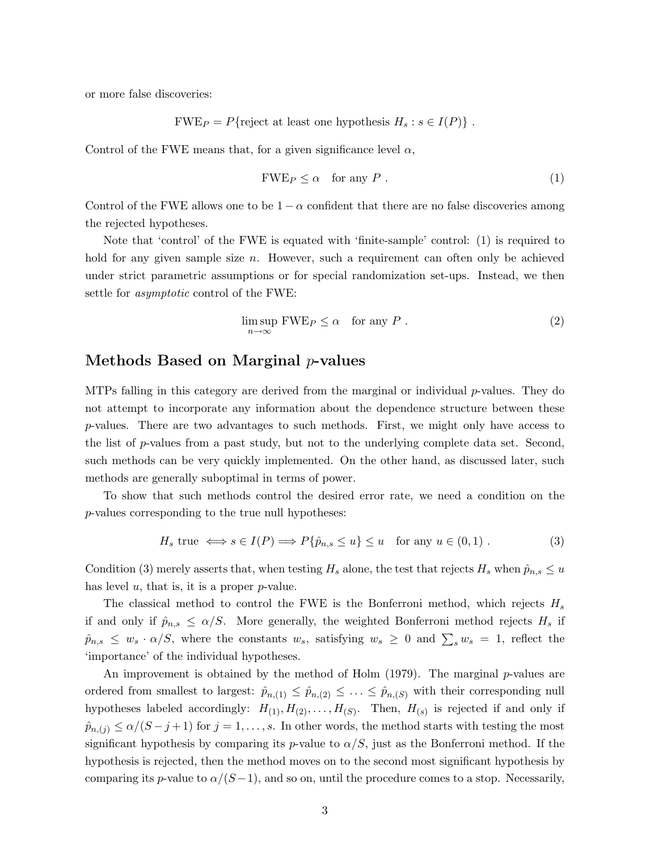or more false discoveries:

$$
FWE_P = P{reject at least one hypothesis } H_s : s \in I(P)
$$
.

Control of the FWE means that, for a given significance level  $\alpha$ ,

$$
FWE_P \le \alpha \quad \text{for any } P \ . \tag{1}
$$

Control of the FWE allows one to be  $1 - \alpha$  confident that there are no false discoveries among the rejected hypotheses.

Note that 'control' of the FWE is equated with 'finite-sample' control: (1) is required to hold for any given sample size *n*. However, such a requirement can often only be achieved under strict parametric assumptions or for special randomization set-ups. Instead, we then settle for asymptotic control of the FWE:

$$
\limsup_{n \to \infty} \text{FWE}_P \le \alpha \quad \text{for any } P \ . \tag{2}
$$

#### Methods Based on Marginal  $p$ -values

MTPs falling in this category are derived from the marginal or individual p-values. They do not attempt to incorporate any information about the dependence structure between these p-values. There are two advantages to such methods. First, we might only have access to the list of p-values from a past study, but not to the underlying complete data set. Second, such methods can be very quickly implemented. On the other hand, as discussed later, such methods are generally suboptimal in terms of power.

To show that such methods control the desired error rate, we need a condition on the p-values corresponding to the true null hypotheses:

$$
H_s \text{ true} \iff s \in I(P) \Longrightarrow P\{\hat{p}_{n,s} \le u\} \le u \quad \text{for any } u \in (0,1).
$$
 (3)

Condition (3) merely asserts that, when testing  $H_s$  alone, the test that rejects  $H_s$  when  $\hat{p}_{n,s} \leq u$ has level  $u$ , that is, it is a proper  $p$ -value.

The classical method to control the FWE is the Bonferroni method, which rejects  $H_s$ if and only if  $\hat{p}_{n,s} \le \alpha/S$ . More generally, the weighted Bonferroni method rejects  $H_s$  if  $\hat{p}_{n,s} \leq w_s \cdot \alpha/S$ , where the constants  $w_s$ , satisfying  $w_s \geq 0$  and  $\sum_s w_s = 1$ , reflect the 'importance' of the individual hypotheses.

An improvement is obtained by the method of Holm  $(1979)$ . The marginal p-values are ordered from smallest to largest:  $\hat{p}_{n,(1)} \leq \hat{p}_{n,(2)} \leq \ldots \leq \hat{p}_{n,(S)}$  with their corresponding null hypotheses labeled accordingly:  $H_{(1)}, H_{(2)}, \ldots, H_{(S)}$ . Then,  $H_{(s)}$  is rejected if and only if  $\hat{p}_{n,(j)} \le \alpha/(S-j+1)$  for  $j=1,\ldots,s$ . In other words, the method starts with testing the most significant hypothesis by comparing its p-value to  $\alpha/S$ , just as the Bonferroni method. If the hypothesis is rejected, then the method moves on to the second most significant hypothesis by comparing its p-value to  $\alpha/(S-1)$ , and so on, until the procedure comes to a stop. Necessarily,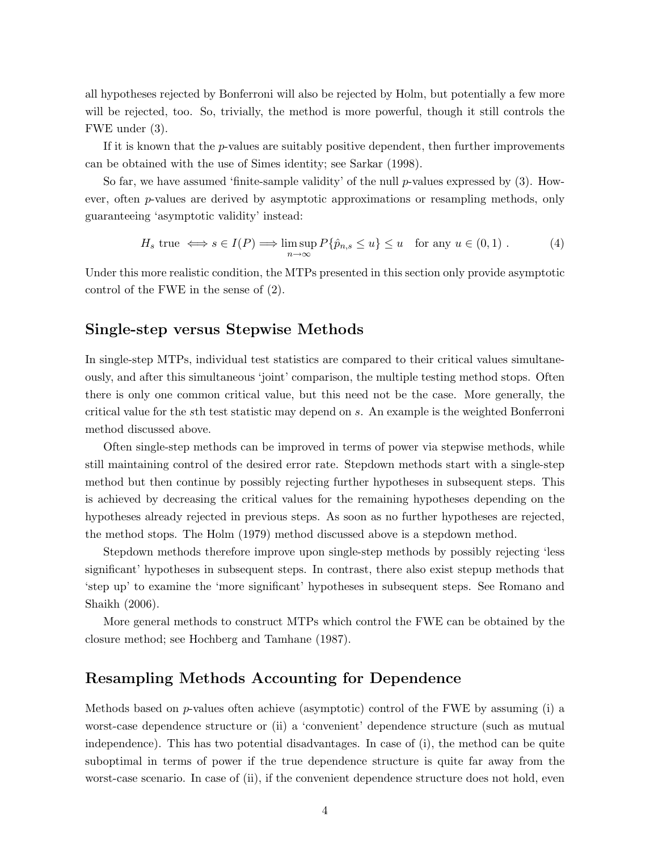all hypotheses rejected by Bonferroni will also be rejected by Holm, but potentially a few more will be rejected, too. So, trivially, the method is more powerful, though it still controls the FWE under (3).

If it is known that the  $p$ -values are suitably positive dependent, then further improvements can be obtained with the use of Simes identity; see Sarkar (1998).

So far, we have assumed 'finite-sample validity' of the null p-values expressed by  $(3)$ . However, often p-values are derived by asymptotic approximations or resampling methods, only guaranteeing 'asymptotic validity' instead:

$$
H_s \text{ true } \iff s \in I(P) \Longrightarrow \limsup_{n \to \infty} P\{\hat{p}_{n,s} \le u\} \le u \text{ for any } u \in (0,1) .
$$
 (4)

Under this more realistic condition, the MTPs presented in this section only provide asymptotic control of the FWE in the sense of (2).

#### Single-step versus Stepwise Methods

In single-step MTPs, individual test statistics are compared to their critical values simultaneously, and after this simultaneous 'joint' comparison, the multiple testing method stops. Often there is only one common critical value, but this need not be the case. More generally, the critical value for the sth test statistic may depend on s. An example is the weighted Bonferroni method discussed above.

Often single-step methods can be improved in terms of power via stepwise methods, while still maintaining control of the desired error rate. Stepdown methods start with a single-step method but then continue by possibly rejecting further hypotheses in subsequent steps. This is achieved by decreasing the critical values for the remaining hypotheses depending on the hypotheses already rejected in previous steps. As soon as no further hypotheses are rejected, the method stops. The Holm (1979) method discussed above is a stepdown method.

Stepdown methods therefore improve upon single-step methods by possibly rejecting 'less significant' hypotheses in subsequent steps. In contrast, there also exist stepup methods that 'step up' to examine the 'more significant' hypotheses in subsequent steps. See Romano and Shaikh (2006).

More general methods to construct MTPs which control the FWE can be obtained by the closure method; see Hochberg and Tamhane (1987).

## Resampling Methods Accounting for Dependence

Methods based on p-values often achieve (asymptotic) control of the FWE by assuming (i) a worst-case dependence structure or (ii) a 'convenient' dependence structure (such as mutual independence). This has two potential disadvantages. In case of (i), the method can be quite suboptimal in terms of power if the true dependence structure is quite far away from the worst-case scenario. In case of (ii), if the convenient dependence structure does not hold, even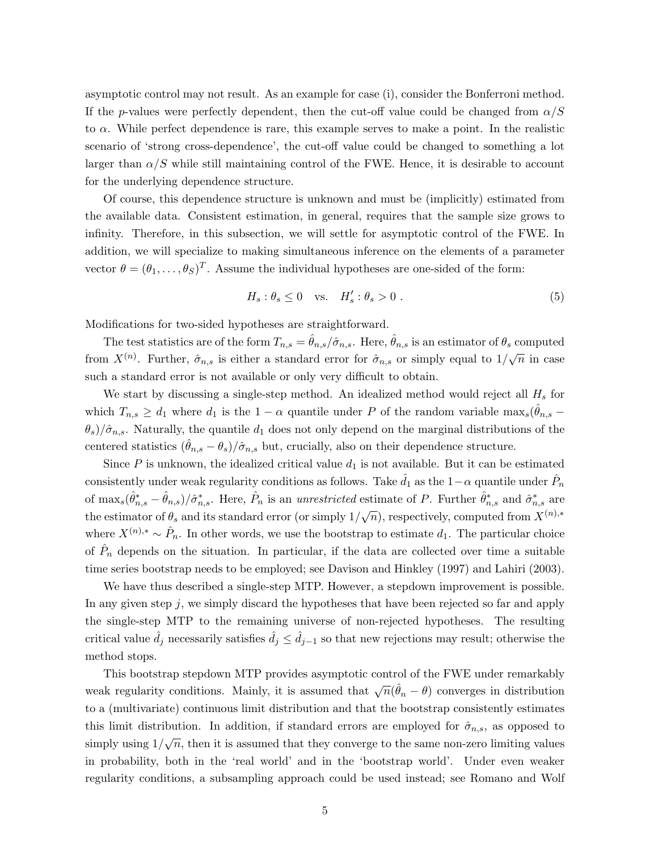asymptotic control may not result. As an example for case (i), consider the Bonferroni method. If the p-values were perfectly dependent, then the cut-off value could be changed from  $\alpha/S$ to  $\alpha$ . While perfect dependence is rare, this example serves to make a point. In the realistic scenario of 'strong cross-dependence', the cut-off value could be changed to something a lot larger than  $\alpha/S$  while still maintaining control of the FWE. Hence, it is desirable to account for the underlying dependence structure.

Of course, this dependence structure is unknown and must be (implicitly) estimated from the available data. Consistent estimation, in general, requires that the sample size grows to infinity. Therefore, in this subsection, we will settle for asymptotic control of the FWE. In addition, we will specialize to making simultaneous inference on the elements of a parameter vector  $\theta = (\theta_1, \dots, \theta_S)^T$ . Assume the individual hypotheses are one-sided of the form:

$$
H_s: \theta_s \le 0 \quad \text{vs.} \quad H'_s: \theta_s > 0 \tag{5}
$$

Modifications for two-sided hypotheses are straightforward.

The test statistics are of the form  $T_{n,s} = \theta_{n,s}/\hat{\sigma}_{n,s}$ . Here,  $\theta_{n,s}$  is an estimator of  $\theta_s$  computed from  $X^{(n)}$ . Further,  $\hat{\sigma}_{n,s}$  is either a standard error for  $\hat{\sigma}_{n,s}$  or simply equal to  $1/\sqrt{n}$  in case such a standard error is not available or only very difficult to obtain.

We start by discussing a single-step method. An idealized method would reject all  $H_s$  for which  $T_{n,s} \geq d_1$  where  $d_1$  is the  $1 - \alpha$  quantile under P of the random variable max<sub>s</sub> $(\hat{\theta}_{n,s} - \theta)$  $\theta_s/\hat{\sigma}_{n,s}$ . Naturally, the quantile  $d_1$  does not only depend on the marginal distributions of the centered statistics  $(\ddot{\theta}_{n,s} - \theta_s)/\hat{\sigma}_{n,s}$  but, crucially, also on their dependence structure.

Since  $P$  is unknown, the idealized critical value  $d_1$  is not available. But it can be estimated consistently under weak regularity conditions as follows. Take  $\hat{d}_1$  as the  $1-\alpha$  quantile under  $\hat{P}_n$ of  $\max_s(\hat{\theta}_{n,s}^* - \hat{\theta}_{n,s})/\hat{\sigma}_{n,s}^*$ . Here,  $\hat{P}_n$  is an unrestricted estimate of P. Further  $\hat{\theta}_{n,s}^*$  and  $\hat{\sigma}_{n,s}^*$  are the estimator of  $\theta_s$  and its standard error (or simply  $1/\sqrt{n}$ ), respectively, computed from  $X^{(n),*}$ where  $X^{(n),*} \sim \hat{P}_n$ . In other words, we use the bootstrap to estimate  $d_1$ . The particular choice of  $\hat{P}_n$  depends on the situation. In particular, if the data are collected over time a suitable time series bootstrap needs to be employed; see Davison and Hinkley (1997) and Lahiri (2003).

We have thus described a single-step MTP. However, a stepdown improvement is possible. In any given step  $j$ , we simply discard the hypotheses that have been rejected so far and apply the single-step MTP to the remaining universe of non-rejected hypotheses. The resulting critical value  $\hat{d}_j$  necessarily satisfies  $\hat{d}_j \leq \hat{d}_{j-1}$  so that new rejections may result; otherwise the method stops.

This bootstrap stepdown MTP provides asymptotic control of the FWE under remarkably weak regularity conditions. Mainly, it is assumed that  $\sqrt{n}(\hat{\theta}_n - \theta)$  converges in distribution to a (multivariate) continuous limit distribution and that the bootstrap consistently estimates this limit distribution. In addition, if standard errors are employed for  $\hat{\sigma}_{n,s}$ , as opposed to simply using  $1/\sqrt{n}$ , then it is assumed that they converge to the same non-zero limiting values in probability, both in the 'real world' and in the 'bootstrap world'. Under even weaker regularity conditions, a subsampling approach could be used instead; see Romano and Wolf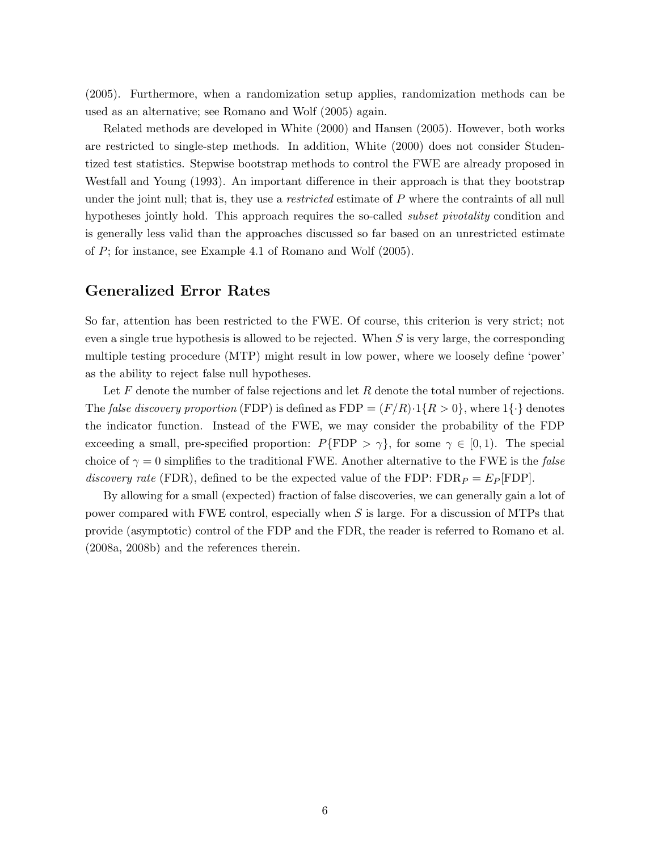(2005). Furthermore, when a randomization setup applies, randomization methods can be used as an alternative; see Romano and Wolf (2005) again.

Related methods are developed in White (2000) and Hansen (2005). However, both works are restricted to single-step methods. In addition, White (2000) does not consider Studentized test statistics. Stepwise bootstrap methods to control the FWE are already proposed in Westfall and Young (1993). An important difference in their approach is that they bootstrap under the joint null; that is, they use a *restricted* estimate of  $P$  where the contraints of all null hypotheses jointly hold. This approach requires the so-called *subset pivotality* condition and is generally less valid than the approaches discussed so far based on an unrestricted estimate of P; for instance, see Example 4.1 of Romano and Wolf (2005).

#### Generalized Error Rates

So far, attention has been restricted to the FWE. Of course, this criterion is very strict; not even a single true hypothesis is allowed to be rejected. When  $S$  is very large, the corresponding multiple testing procedure (MTP) might result in low power, where we loosely define 'power' as the ability to reject false null hypotheses.

Let  $F$  denote the number of false rejections and let  $R$  denote the total number of rejections. The false discovery proportion (FDP) is defined as  $FDP = (F/R) \cdot 1\{R > 0\}$ , where  $1\{\cdot\}$  denotes the indicator function. Instead of the FWE, we may consider the probability of the FDP exceeding a small, pre-specified proportion:  $P\{\text{FDP} > \gamma\}$ , for some  $\gamma \in [0,1)$ . The special choice of  $\gamma = 0$  simplifies to the traditional FWE. Another alternative to the FWE is the *false* discovery rate (FDR), defined to be the expected value of the FDP:  $FDR_P = E_P$  [FDP].

By allowing for a small (expected) fraction of false discoveries, we can generally gain a lot of power compared with FWE control, especially when S is large. For a discussion of MTPs that provide (asymptotic) control of the FDP and the FDR, the reader is referred to Romano et al. (2008a, 2008b) and the references therein.